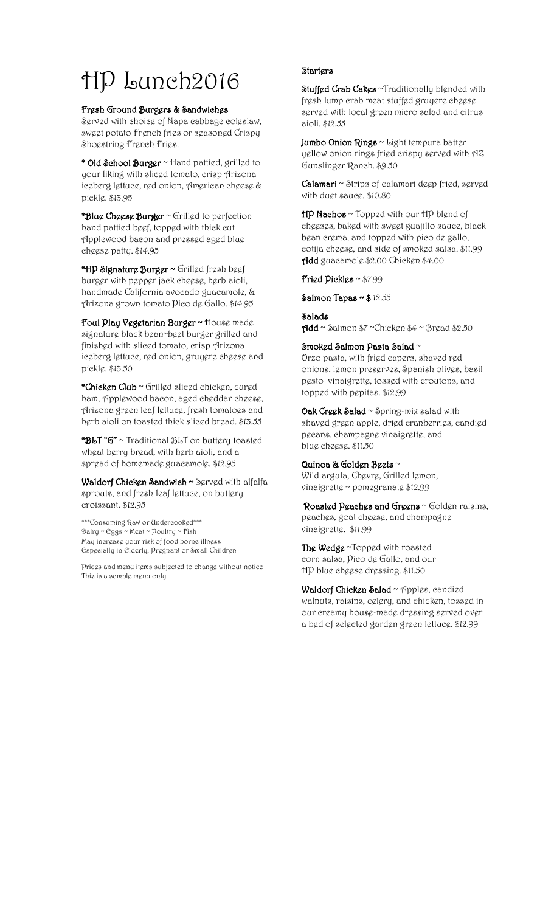# HP Lunch2016

# Fresh Ground Burgers & Sandwiches

Served with choice of Napa cabbage coleslaw, sweet potato French fries or seasoned Crispy Shogstring Frgneh Frigs.

\* Old School Burger ~ Hand pattied, grilled to your liking with sliced tomato, crisp Arizona iceberg lettuce, red onion, American cheese & pickle. \$13.95

 $*$ Blue Cheese Burger  $\sim$  Grilled to perfection hand pattied beef, topped with thick cut Applewood bacon and pressed aged blue cheese patty. \$14.95

\*HP Signature Burger ~ Grilled fresh beef burger with pepper jack cheese, herb aioli, handmade California avocado guacamole, & Arizona grown tomato Pico de Gallo. \$14.95

Foul Play Vegetarian Burger ~ House made signature black bean~beet burger grilled and finished with sliced tomato, crisp Arizona iceberg lettuce, red onion, gruyere cheese and pickle. \$13.50

\*Chicken Club ~ Grilled sliced chicken, cured ham, Applewood bacon, aged cheddar cheese, Arizona green leaf lettuce, fresh tomatoes and herb aioli on toasted thick sliced bread. \$13.55

\*BLT "G" ~ Traditional BLT on buttery toasted wheat berry bread, with herb aioli, and a spread of homemade guacamole. \$12.95

Waldorf Chicken Sandwich ~ Served with alfalfa sprouts, and fresh leaf lettuce, on buttery croissant. \$12.95

\*\*\*Consuming Raw or Undercooked\*\*\* Dairy ~ Eggs ~ Meat ~ Poultry ~ Fish May increase your risk of food borne illness Especially in Elderly, Pregnant or Small Children

Prices and menu items subjected to change without notice This is a sample menu only

# **Starters**

Stuffed Crab Cakes ~Traditionally blended with fresh lump crab meat stuffed gruyere cheese sgrvgd with local grggn micro salad and citrus aioli. \$12.55

Jumbo Onion Rings ~ Light tempura batter yellow onion rings fried crispy served with AZ Gunslinger Ranch. \$9.50

Calamari ~ Strips of calamari deep fried, served with duet sauce. \$10.80

 $HP$  Nachos  $\sim$  Topped with our  $HP$  blend of cheeses, baked with sweet guajillo sauce, black bean crema, and topped with pico de gallo, cotija cheese, and side of smoked salsa. \$11.99 Add guacamole \$2.00 Chicken \$4.00

Fried Pickles ~ \$7.99

Salmon Tapas  $\sim$  \$ 12.55

# Salads

 $\gamma$ dd ~ Salmon \$7 ~Chicken \$4 ~ Bread \$2.50

## Smoked Salmon Pasta Salad  $\sim$

Orzo pasta, with fried capers, shaved red onions, lemon preserves, Spanish olives, basil pesto vinaigrette, tossed with croutons, and topped with pepitas. \$12.99

Oak Creek Salad ~ Spring-mix salad with shaved green apple, dried cranberries, candied pecans, champagne vinaigrette, and blue cheese. \$11.50

# Quinoa & Golden Beets ~

Wild argula, Chevre, Grilled lemon, vinaigrette ~ pomegranate \$12.99

Roasted Peaches and Greens ~ Golden raisins, peaches, goat cheese, and champagne vinaigrette. \$11.99

The Wedge ~Topped with roasted corn salsa, Pico de Gallo, and our HP blue cheese dressing. \$11.50

Waldorf Chicken Salad ~ Apples, candied walnuts, raisins, celery, and chicken, tossed in our creamy house-made dressing served over a bed of selected garden green lettuce. \$12.99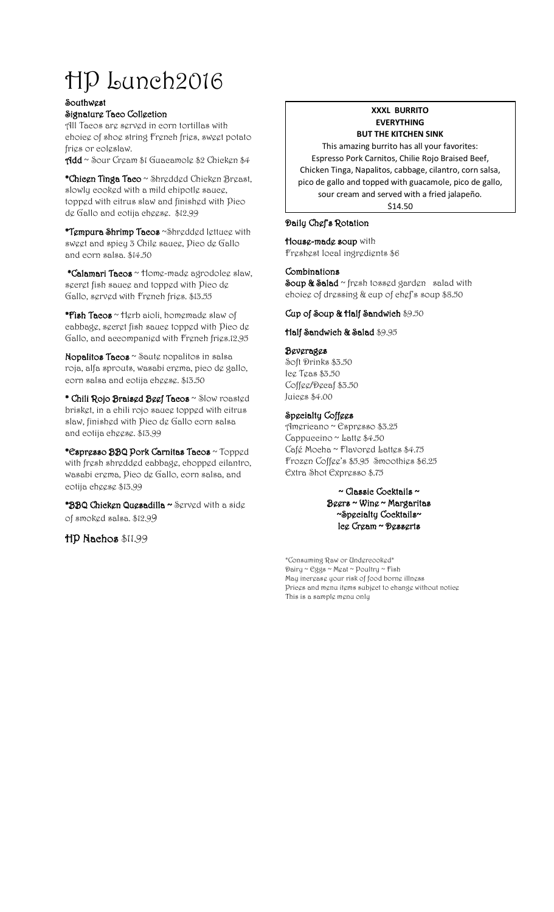# HP Lunch2016

### **Southwest**

Signature Taco Collection

All Tacos are served in corn tortillas with choice of shoe string French fries, sweet potato fries or coleslaw.

Add ~ Sour Cream \$1 Guacamole \$2 Chicken \$4

\*Chicen Tinga Taco ~ Shredded Chicken Breast, slowly cooked with a mild chipotle sauce, topped with citrus slaw and finished with Pico de Gallo and cotija cheese. \$12.99

\*Tempura Shrimp Tacos ~Shredded lettuce with sweet and spicy 3 Chile sauce, Pico de Gallo and corn salsa. \$14.50

 \*Calamari Tacos ~ Home-made agrodolce slaw, secret fish sauce and topped with Pico de Gallo, served with French fries. \$13.55

\*Fish Tacos  $\sim$  Herb aioli, homemade slaw of cabbage, secret fish sauce topped with Pico de Gallo, and accompanied with French fries.12.95

Nopalitos Tacos ~ Saute nopalitos in salsa roja, alfa sprouts, wasabi crema, pico de gallo, corn salsa and cotija cheese. \$13.50

\* Chili Rojo Braised Beef Tacos ~ Slow roasted brisket, in a chili rojo sauce topped with citrus slaw, finished with Pico de Gallo corn salsa and cotija cheese. \$13.99

\*Espresso BBQ Pork Carnitas Tacos ~ Topped with fresh shredded cabbage, chopped cilantro, wasabi crema, Pico de Gallo, corn salsa, and cotija cheese \$13.99

\*BBQ Chicken Quesadilla ~ Served with a side of smoked salsa. \$12.99

HP Nachos \$11.99

# **XXXL BURRITO EVERYTHING BUT THE KITCHEN SINK**

This amazing burrito has all your favorites: Espresso Pork Carnitos, Chilie Rojo Braised Beef, Chicken Tinga, Napalitos, cabbage, cilantro, corn salsa, pico de gallo and topped with guacamole, pico de gallo, sour cream and served with a fried jalapeño. \$14.50

Daily Chef's Rotation

House-made soup with Freshest local ingredients \$6

# **Combinations**

Soup & Salad ~ fresh tossed garden salad with choice of dressing & cup of chef's soup \$8.50

## Cup of Soup & Half Sandwich \$9.50

Half Sandwich & Salad \$9.95

## Beverages

Soft Drinks \$3.50 Ice Teas \$3.50 Coffee/Decaf \$3.50 Juices \$4.00

# Specialty Coffees

Americano ~ Espresso \$3.25 Cappuccino ~ Latte  $$4.50$ Café Mocha ~ Flavored Lattes \$4.75 Frozen Coffee's \$5.95 Smoothies \$6.25 Extra Shot Expresso \$.75

## ~ Classic Cocktails ~ Beers ~ Wine ~ Margaritas ~Specialty Cocktails~ Ice Cream ~ Desserts

\*Consuming Raw or Undercooked\* Dairy ~ Eggs ~ Meat ~ Poultry ~ Fish May increase your risk of food borne illness Prices and menu items subject to change without notice This is a sample menu only